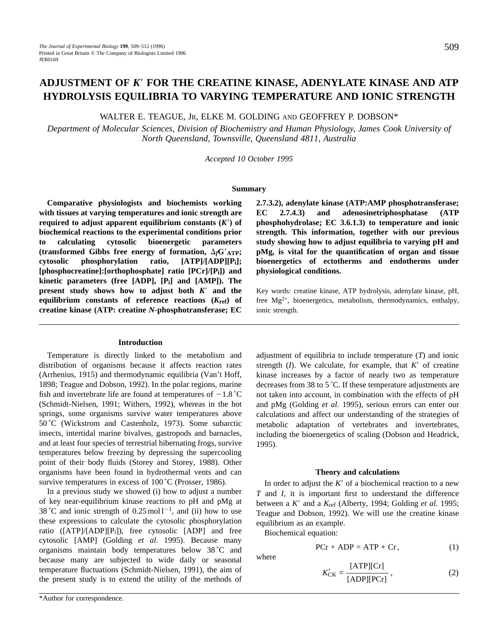# **ADJUSTMENT OF** *K*9 **FOR THE CREATINE KINASE, ADENYLATE KINASE AND ATP HYDROLYSIS EQUILIBRIA TO VARYING TEMPERATURE AND IONIC STRENGTH**

WALTER E. TEAGUE, JR, ELKE M. GOLDING AND GEOFFREY P. DOBSON\*

*Department of Molecular Sciences, Division of Biochemistry and Human Physiology, James Cook University of North Queensland, Townsville, Queensland 4811, Australia*

*Accepted 10 October 1995*

### **Summary**

**Comparative physiologists and biochemists working with tissues at varying temperatures and ionic strength are required to adjust apparent equilibrium constants**  $(K')$  **of biochemical reactions to the experimental conditions prior to calculating cytosolic bioenergetic parameters** (transformed Gibbs free energy of formation,  $\Delta_f G'_{ATP}$ ; **cytosolic phosphorylation ratio, [ATP]/[ADP][Pi]; [phosphocreatine]:[orthophosphate] ratio [PCr]/[Pi]) and kinetic parameters (free [ADP], [Pi] and [AMP]). The present study shows how to adjust both** *K*9 **and the equilibrium constants of reference reactions (***K***ref) of creatine kinase (ATP: creatine** *N***-phosphotransferase; EC**

### **Introduction**

Temperature is directly linked to the metabolism and distribution of organisms because it affects reaction rates (Arrhenius, 1915) and thermodynamic equilibria (Van't Hoff, 1898; Teague and Dobson, 1992). In the polar regions, marine fish and invertebrate life are found at temperatures of  $-1.8 \degree C$ (Schmidt-Nielsen, 1991; Withers, 1992), whereas in the hot springs, some organisms survive water temperatures above 50 ˚C (Wickstrom and Castenholz, 1973). Some subarctic insects, intertidal marine bivalves, gastropods and barnacles, and at least four species of terrestrial hibernating frogs, survive temperatures below freezing by depressing the supercooling point of their body fluids (Storey and Storey, 1988). Other organisms have been found in hydrothermal vents and can survive temperatures in excess of 100 °C (Prosser, 1986).

In a previous study we showed (i) how to adjust a number of key near-equilibrium kinase reactions to pH and pMg at 38 °C and ionic strength of  $0.25 \text{ mol}^{-1}$ , and (ii) how to use these expressions to calculate the cytosolic phosphorylation ratio  $([ATP]/[ADP][P_i])$ , free cytosolic  $[ADP]$  and free cytosolic [AMP] (Golding *et al.* 1995). Because many organisms maintain body temperatures below 38 ˚C and because many are subjected to wide daily or seasonal temperature fluctuations (Schmidt-Nielsen, 1991), the aim of the present study is to extend the utility of the methods of

\*Author for correspondence.

**2.7.3.2), adenylate kinase (ATP:AMP phosphotransferase; EC 2.7.4.3) and adenosinetriphosphatase (ATP phosphohydrolase; EC 3.6.1.3) to temperature and ionic strength. This information, together with our previous study showing how to adjust equilibria to varying pH and pMg, is vital for the quantification of organ and tissue bioenergetics of ectotherms and endotherms under physiological conditions.**

Key words: creatine kinase, ATP hydrolysis, adenylate kinase, pH, free  $Mg^{2+}$ , bioenergetics, metabolism, thermodynamics, enthalpy, ionic strength.

adjustment of equilibria to include temperature (*T*) and ionic strength  $(I)$ . We calculate, for example, that  $K'$  of creatine kinase increases by a factor of nearly two as temperature decreases from 38 to 5 ˚C. If these temperature adjustments are not taken into account, in combination with the effects of pH and pMg (Golding *et al.* 1995), serious errors can enter our calculations and affect our understanding of the strategies of metabolic adaptation of vertebrates and invertebrates, including the bioenergetics of scaling (Dobson and Headrick, 1995).

#### **Theory and calculations**

In order to adjust the  $K'$  of a biochemical reaction to a new *T* and *I*, it is important first to understand the difference between a *K'* and a *K*<sub>ref</sub> (Alberty, 1994; Golding *et al.* 1995; Teague and Dobson, 1992). We will use the creatine kinase equilibrium as an example.

Biochemical equation:

$$
PCr + ADP = ATP + Cr,
$$
 (1)

where

$$
K'_{\text{CK}} = \frac{\text{[ATP]}[\text{Cr}]}{\text{[ADP]}[\text{PCr}]},\tag{2}
$$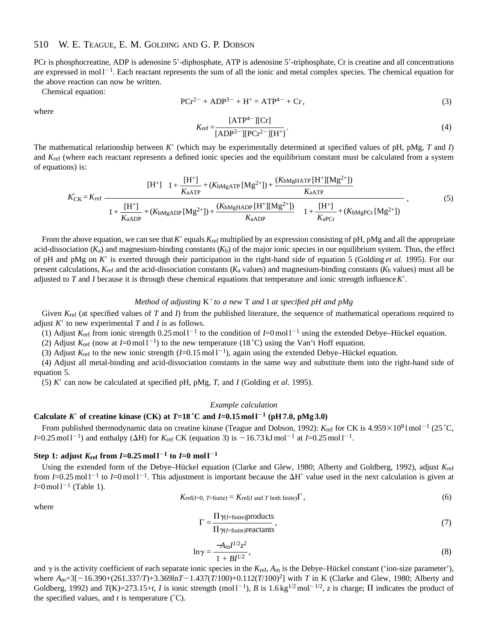#### 510 W. E. TEAGUE, E. M. GOLDING AND G. P. DOBSON

PCr is phosphocreatine, ADP is adenosine 5'-diphosphate, ATP is adenosine 5'-triphosphate, Cr is creatine and all concentrations are expressed in mol $1^{-1}$ . Each reactant represents the sum of all the ionic and metal complex species. The chemical equation for the above reaction can now be written.

Chemical equation:

$$
PCr^{2-} + ADP^{3-} + H^{+} = ATP^{4-} + Cr,
$$
\n(3)

where

$$
K_{\rm ref} = \frac{[ATP^{4-}][Cr]}{[ADP^{3-}][PCr^{2-}][H^{+}]}.
$$
\n(4)

The mathematical relationship between *K*9 (which may be experimentally determined at specified values of pH, pMg, *T* and *I*) and *K*ref (where each reactant represents a defined ionic species and the equilibrium constant must be calculated from a system of equations) is:

$$
K'_{CK} = K_{ref} \frac{[H^+] \left\{ 1 + \frac{[H^+]}{K_{aATP}} + (K_{bMgATP} [Mg^{2+}]) + \frac{(K_{bMgHATP} [H^+] [Mg^{2+}])}{K_{aATP}} \right\}}{\left\{ 1 + \frac{[H^+]}{K_{aADP}} + (K_{bMgADP} [Mg^{2+}]) + \frac{(K_{bMgHADP} [H^+] [Mg^{2+}])}{K_{aADP}} \right\} \left\{ 1 + \frac{[H^+]}{K_{aPT}} + (K_{bMgPCr} [Mg^{2+}]) \right\}},
$$
\n(5)

From the above equation, we can see that *K'* equals  $K_{\text{ref}}$  multiplied by an expression consisting of pH, pMg and all the appropriate acid-dissociation  $(K_a)$  and magnesium-binding constants  $(K_b)$  of the major ionic species in our equilibrium system. Thus, the effect of pH and pMg on *K*9 is exerted through their participation in the right-hand side of equation 5 (Golding *et al.* 1995). For our present calculations,  $K_{\text{ref}}$  and the acid-dissociation constants ( $K_a$  values) and magnesium-binding constants ( $K_b$  values) must all be adjusted to *T* and *I* because it is through these chemical equations that temperature and ionic strength influence *K*9.

## *Method of adjusting* K' *to a new* T *and* I *at specified pH and pMg*

Given *K*<sub>ref</sub> (at specified values of *T* and *I*) from the published literature, the sequence of mathematical operations required to adjust  $K'$  to new experimental  $T$  and  $I$  is as follows.

(1) Adjust  $K_{\text{ref}}$  from ionic strength 0.25 mol l<sup>-1</sup> to the condition of  $I=0$  mol l<sup>-1</sup> using the extended Debye–Hückel equation.

(2) Adjust  $K_{\text{ref}}$  (now at  $I=0 \text{ mol } 1^{-1}$ ) to the new temperature (18 °C) using the Van't Hoff equation.

(3) Adjust  $K_{\text{ref}}$  to the new ionic strength  $(I=0.15 \text{ mol}^{-1})$ , again using the extended Debye–Hückel equation.

(4) Adjust all metal-binding and acid-dissociation constants in the same way and substitute them into the right-hand side of equation 5.

(5)  $K'$  can now be calculated at specified pH, pMg, *T*, and *I* (Golding *et al.* 1995).

## *Example calculation*

## **Calculate** *K***<sup>** $\prime$ **</sup> of creatine kinase (CK) at** *T***=18 °C and** *I***=0.15 mol 1<sup>-1</sup> (pH 7.0, pMg 3.0)**

From published thermodynamic data on creatine kinase (Teague and Dobson, 1992):  $K_{\text{ref}}$  for CK is 4.959 $\times$ 10<sup>8</sup> l mol<sup>-1</sup> (25 °C, *I*=0.25 mol  $1^{-1}$ ) and enthalpy ( $\Delta H$ ) for *K*<sub>ref</sub> CK (equation 3) is  $-16.73$  kJ mol<sup>-1</sup> at *I*=0.25 mol  $1^{-1}$ .

## **Step 1: adjust**  $K_{\text{ref}}$  **from**  $I=0.25 \text{ mol } 1^{-1}$  **to**  $I=0 \text{ mol } 1^{-1}$

Using the extended form of the Debye–Hückel equation (Clarke and Glew, 1980; Alberty and Goldberg, 1992), adjust *K*ref from  $I=0.25$  mol l<sup>-1</sup> to  $I=0$  mol l<sup>-1</sup>. This adjustment is important because the  $\Delta H^{\circ}$  value used in the next calculation is given at  $I=0 \text{ mol } 1^{-1}$  (Table 1).

$$
K_{\text{ref}(I=0, T=\text{finite})} = K_{\text{ref}(I \text{ and } T \text{ both finite})} \Gamma, \qquad (6)
$$

where

$$
\Gamma = \frac{\Pi \gamma_{(I=\text{finite})} \text{products}}{\Pi \gamma_{(I=\text{finite})} \text{reactants}},\tag{7}
$$

$$
\ln \gamma = \frac{-A_{\rm m} I^{1/2} z^2}{1 + B I^{1/2}},\tag{8}
$$

and  $\gamma$  is the activity coefficient of each separate ionic species in the  $K_{\text{ref}}$ ,  $A_m$  is the Debye–Hückel constant ('ion-size parameter'), where  $A_m=3[-16.390+(261.337/T)+3.369\ln T-1.437(T/100)+0.112(T/100)^2]$  with *T* in K (Clarke and Glew, 1980; Alberty and Goldberg, 1992) and  $T(K)=273.15+t$ , *I* is ionic strength (mol  $1^{-1}$ ), *B* is 1.6 kg<sup>1/2</sup> mol<sup>-1/2</sup>, *z* is charge;  $\Pi$  indicates the product of the specified values, and  $t$  is temperature  $({}^{\circ}C)$ .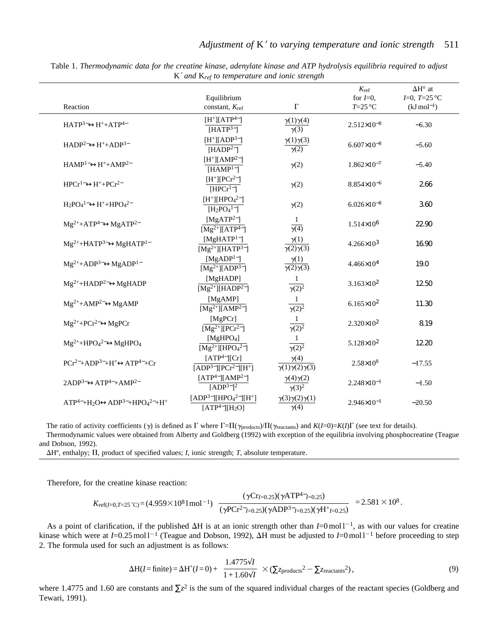|                                                         |                                                   |                                                                               | $K_{\mathrm{ref}}$                                | $\Delta H^\circ$ at |
|---------------------------------------------------------|---------------------------------------------------|-------------------------------------------------------------------------------|---------------------------------------------------|---------------------|
|                                                         | Equilibrium                                       |                                                                               | for $I=0$ ,                                       | $I=0$ , $T=25$ °C   |
| Reaction                                                | constant, K <sub>ref</sub>                        | $\Gamma$                                                                      | $T=25\text{ °C}$                                  | $(kJ \, mol^{-1})$  |
| $HATP3\leftrightarrow H++ATP4$                          | $[H^+] [ATP^{4-}]$                                | $\gamma(1)\gamma(4)$<br>$\overline{\gamma(3)}$                                | $2.512\times10^{-8}$                              | $-6.30$             |
|                                                         | [HATP <sup>3–</sup> ]                             |                                                                               |                                                   |                     |
|                                                         | $[H^+][ADP^3^-]$                                  | $\gamma(1)\gamma(3)$                                                          |                                                   |                     |
| $HADP2-<\leftrightarrow H++ADP3-$                       | [HADP <sup>2–</sup> ]                             | $\gamma(2)$                                                                   | $6.607\times10^{-8}$                              | $-5.60$             |
|                                                         |                                                   |                                                                               |                                                   |                     |
| $HAMP1-ightharpoonupH++AMP2-$                           | $[H^+][AMP^{2-}]$                                 | $\gamma(2)$                                                                   | $1.862\times10^{-7}$                              | $-5.40$             |
|                                                         | $[HAMP1-]$                                        |                                                                               |                                                   |                     |
| $HPCr^{1-}\leftrightarrow H^+ + PCr^{2-}$               | $[H^+][PCr^{2-}]$                                 | $\gamma(2)$                                                                   | $8.854\times10^{-6}$                              | 2.66                |
|                                                         | $[HPCr^{1-}]$                                     |                                                                               |                                                   |                     |
| $H_2PO_4{}^{1-}\leftrightarrow H^+ + HPO_4{}^{2-}$      | $[H^+][HPO_4^{2-}]$                               | $\gamma(2)$                                                                   | $6.026 \times 10^{-8}$                            | 3.60                |
|                                                         | $[H_2PO_4^{1-}]$                                  |                                                                               |                                                   |                     |
| $Mg^{2+}+ATP^{4-} \leftrightarrow MgATP^{2-}$           | [ $MgATP2–$ ]                                     | -1<br>$\overline{\gamma(4)}$                                                  | $1.514\times10^{6}$                               | 22.90               |
|                                                         | $\sqrt{\text{Mg}^{2+}\text{MTP}^{4-}}$            |                                                                               |                                                   |                     |
| $Mg^{2+}+HATP^{3-} \leftrightarrow MgHATP^{1-}$         | [ $MgHATP1–$ ]                                    | $\gamma(1)$<br>$\overline{\gamma(2)\gamma(3)}$                                |                                                   | 16.90               |
|                                                         | $[Mg^{2+}][HATP^{3-}]$                            |                                                                               | $4.266 \times 10^3$                               |                     |
| $Mg^{2+}+ADP^{3-} \leftrightarrow MgADP^{1-}$           | [ $MgADP1–$ ]                                     | $\gamma(1)$<br>$\sqrt{(2)\gamma(3)}$                                          |                                                   |                     |
|                                                         | $\sqrt{\text{Mg}^{2+} \text{I}(\text{ADP}^{3-})}$ |                                                                               | $4.466\times10^{4}$                               | 19.0                |
|                                                         | [MgHADP]                                          |                                                                               |                                                   |                     |
| $Mg^{2+}+HADP^{2-} \leftrightarrow MgHADP$              |                                                   | -1                                                                            | $3.163 \times 10^{2}$                             | 12.50               |
|                                                         | $\overline{\text{[Mg$^{2+}][HADP^{2-}]}}$         | $\overline{\gamma(2)^2}$                                                      |                                                   |                     |
| $Mg^{2+}+AMP^{2-}\leftrightarrow MgAMP$                 | [MgAMP]                                           | $\mathbf{1}$                                                                  | $6.165 \times 10^{2}$                             | 11.30               |
|                                                         | $[Mg^{2+}][AMP^{2-}]$                             | $\overline{\gamma(2)^2}$                                                      |                                                   |                     |
| $Mg^{2+}+PCr^{2-} \leftrightarrow MgPCr$                | [MgPCr]                                           | -1                                                                            | $2.320 \times 10^{2}$<br>$\overline{\gamma(2)^2}$ | 8.19                |
|                                                         | $\sqrt{\text{Mg}^{2+}\text{HPCr}^{2-}}$           |                                                                               |                                                   |                     |
| $Mg^{2+} + HPO42- \leftrightarrow MgHPO4$               | [MgHPO <sub>4</sub> ]                             | $\mathbf{1}$                                                                  | $5.128 \times 10^{2}$                             | 12.20               |
|                                                         | $[Mg^{2+}][HPO42–]$                               | $\overline{\gamma(2)^2}$                                                      |                                                   |                     |
| $PCr^{2-}+ADP^{3-}+H^+\leftrightarrow ATP^{4-}+Cr$      | [ATP <sup>4</sup> ][Cr]                           | $\gamma(4)$<br>$2.58 \times 10^8$<br>$\overline{\gamma(1)\gamma(2)\gamma(3)}$ |                                                   | $-17.55$            |
|                                                         | $[ADP3$ ][ $PCr2$ ][ $H+$ ]                       |                                                                               |                                                   |                     |
|                                                         | $[ATP^{4-}][AMP^{2-}]$                            | $\gamma(4)\gamma(2)$                                                          |                                                   |                     |
| $2ADP3-\leftrightarrowATP4-+AMP2-$                      | [ADP <sup>3–</sup> ] <sup>2</sup>                 | $\gamma(3)^2$                                                                 | $2.248 \times 10^{-1}$                            | $-1.50$             |
|                                                         | $[ADP3-][HPO42-][H+]$                             |                                                                               |                                                   |                     |
| $ATP^{4-}+H_2O \leftrightarrow ADP^{3-}+HPO_4^{2-}+H^+$ |                                                   | $\gamma(3)\gamma(2)\gamma(1)$                                                 | $2.946 \times 10^{-1}$                            | $-20.50$            |
|                                                         | $[ATP^{4-}][H_2O]$                                | $\gamma(4)$                                                                   |                                                   |                     |

Table 1. *Thermodynamic data for the creatine kinase, adenylate kinase and ATP hydrolysis equilibria required to adjust* K′ *and* K*ref to temperature and ionic strength*

The ratio of activity coefficients ( $\gamma$ ) is defined as  $\Gamma$  where  $\Gamma = \Pi(\gamma_{\text{products}})/\Pi(\gamma_{\text{reactants}})$  and  $K(I=0)=K(I)\Gamma$  (see text for details). Thermodynamic values were obtained from Alberty and Goldberg (1992) with exception of the equilibria involving phosphocreatine (Teague and Dobson, 1992).

 $\Delta H^{\circ}$ , enthalpy;  $\Pi$ , product of specified values; *I*, ionic strength; *T*, absolute temperature.

Therefore, for the creatine kinase reaction:

$$
K_{\text{ref}(I=0,T=25\degree\text{C})} = (4.959 \times 10^8 \text{1 mol}^{-1}) \left[ \frac{(\gamma \text{Cr}_{I=0.25})(\gamma \text{ATP}^{4-}_{I=0.25})}{(\gamma \text{PCr}^{2-}_{I=0.25})(\gamma \text{ADP}^{3-}_{I=0.25})(\gamma \text{H}^{+}_{I=0.25})} \right] = 2.581 \times 10^8.
$$

As a point of clarification, if the published  $\Delta H$  is at an ionic strength other than  $I=0 \text{ mol }1^{-1}$ , as with our values for creatine kinase which were at  $I=0.25 \text{ mol}^{-1}$  (Teague and Dobson, 1992),  $\Delta H$  must be adjusted to  $I=0 \text{ mol}^{-1}$  before proceeding to step 2. The formula used for such an adjustment is as follows:

$$
\Delta H(I = \text{finite}) = \Delta H^{\circ}(I = 0) + \left(\frac{1.4775\sqrt{I}}{1 + 1.60\sqrt{I}}\right) \times \left(\Sigma_{\text{zproducts}}^2 - \Sigma_{\text{zreatants}}^2\right),\tag{9}
$$

where 1.4775 and 1.60 are constants and  $\Sigma z^2$  is the sum of the squared individual charges of the reactant species (Goldberg and Tewari, 1991).